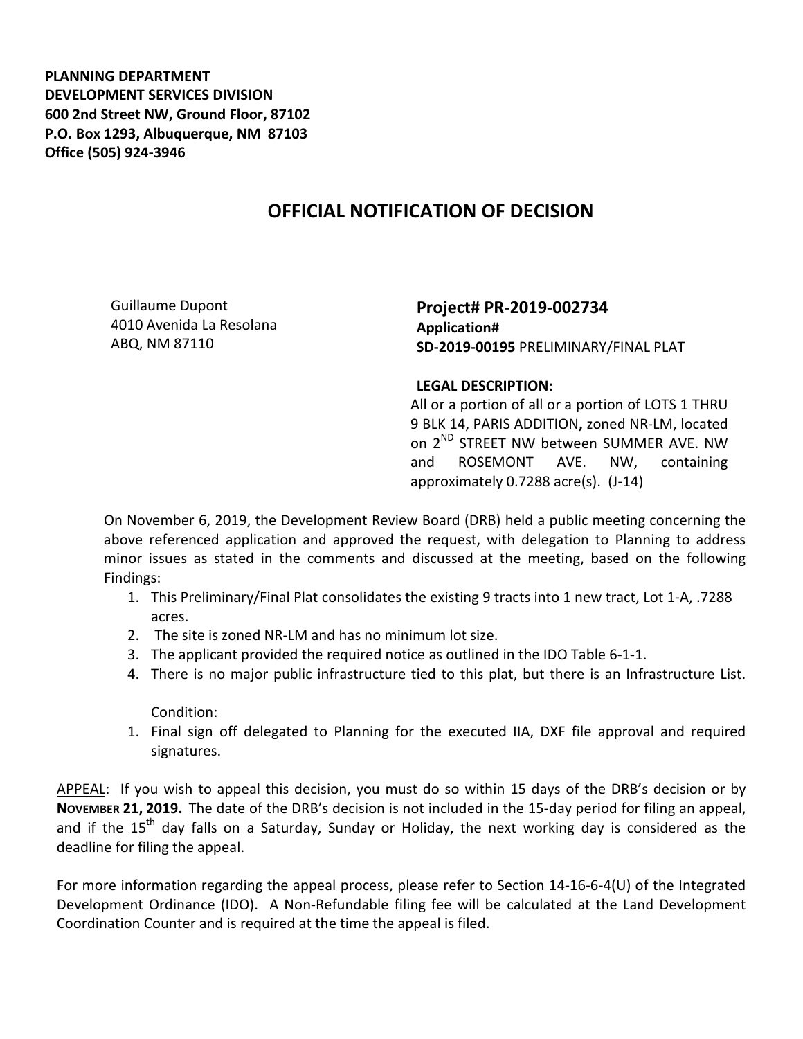**PLANNING DEPARTMENT DEVELOPMENT SERVICES DIVISION 600 2nd Street NW, Ground Floor, 87102 P.O. Box 1293, Albuquerque, NM 87103 Office (505) 924-3946** 

## **OFFICIAL NOTIFICATION OF DECISION**

Guillaume Dupont 4010 Avenida La Resolana ABQ, NM 87110

**Project# PR-2019-002734 Application# SD-2019-00195** PRELIMINARY/FINAL PLAT

## **LEGAL DESCRIPTION:**

All or a portion of all or a portion of LOTS 1 THRU 9 BLK 14, PARIS ADDITION**,** zoned NR-LM, located on 2<sup>ND</sup> STREET NW between SUMMER AVE. NW and ROSEMONT AVE. NW, containing approximately 0.7288 acre(s). (J-14)

On November 6, 2019, the Development Review Board (DRB) held a public meeting concerning the above referenced application and approved the request, with delegation to Planning to address minor issues as stated in the comments and discussed at the meeting, based on the following Findings:

- 1. This Preliminary/Final Plat consolidates the existing 9 tracts into 1 new tract, Lot 1-A, .7288 acres.
- 2. The site is zoned NR-LM and has no minimum lot size.
- 3. The applicant provided the required notice as outlined in the IDO Table 6-1-1.
- 4. There is no major public infrastructure tied to this plat, but there is an Infrastructure List.

Condition:

1. Final sign off delegated to Planning for the executed IIA, DXF file approval and required signatures.

APPEAL: If you wish to appeal this decision, you must do so within 15 days of the DRB's decision or by **NOVEMBER 21, 2019.** The date of the DRB's decision is not included in the 15-day period for filing an appeal, and if the  $15<sup>th</sup>$  day falls on a Saturday, Sunday or Holiday, the next working day is considered as the deadline for filing the appeal.

For more information regarding the appeal process, please refer to Section 14-16-6-4(U) of the Integrated Development Ordinance (IDO). A Non-Refundable filing fee will be calculated at the Land Development Coordination Counter and is required at the time the appeal is filed.